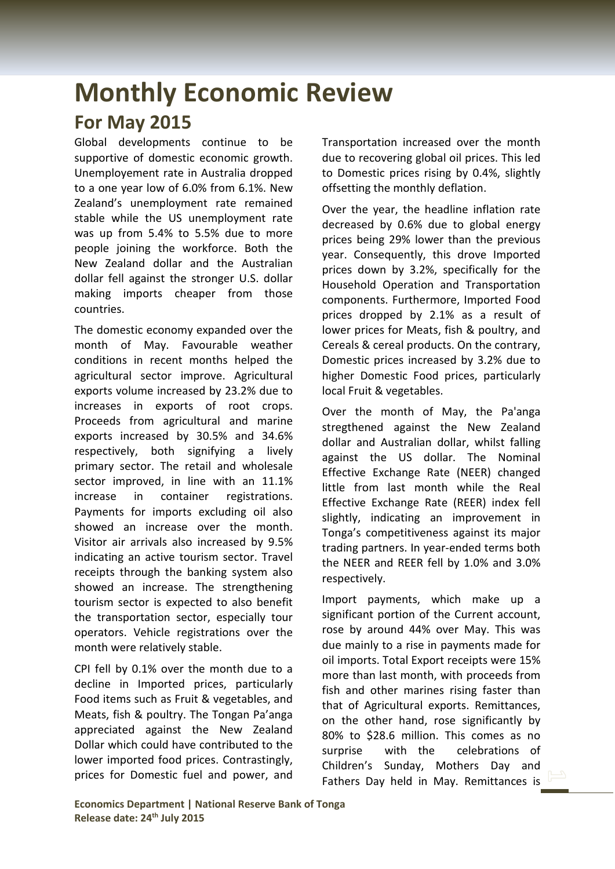## **Monthly Economic Review For May 2015**

Global developments continue to be supportive of domestic economic growth. Unemployement rate in Australia dropped to a one year low of 6.0% from 6.1%. New Zealand's unemployment rate remained stable while the US unemployment rate was up from 5.4% to 5.5% due to more people joining the workforce. Both the New Zealand dollar and the Australian dollar fell against the stronger U.S. dollar making imports cheaper from those countries.

The domestic economy expanded over the month of May. Favourable weather conditions in recent months helped the agricultural sector improve. Agricultural exports volume increased by 23.2% due to increases in exports of root crops. Proceeds from agricultural and marine exports increased by 30.5% and 34.6% respectively, both signifying a lively primary sector. The retail and wholesale sector improved, in line with an 11.1% increase in container registrations. Payments for imports excluding oil also showed an increase over the month. Visitor air arrivals also increased by 9.5% indicating an active tourism sector. Travel receipts through the banking system also showed an increase. The strengthening tourism sector is expected to also benefit the transportation sector, especially tour operators. Vehicle registrations over the month were relatively stable.

CPI fell by 0.1% over the month due to a decline in Imported prices, particularly Food items such as Fruit & vegetables, and Meats, fish & poultry. The Tongan Pa'anga appreciated against the New Zealand Dollar which could have contributed to the lower imported food prices. Contrastingly, prices for Domestic fuel and power, and Transportation increased over the month due to recovering global oil prices. This led to Domestic prices rising by 0.4%, slightly offsetting the monthly deflation.

Over the year, the headline inflation rate decreased by 0.6% due to global energy prices being 29% lower than the previous year. Consequently, this drove Imported prices down by 3.2%, specifically for the Household Operation and Transportation components. Furthermore, Imported Food prices dropped by 2.1% as a result of lower prices for Meats, fish & poultry, and Cereals & cereal products. On the contrary, Domestic prices increased by 3.2% due to higher Domestic Food prices, particularly local Fruit & vegetables.

Over the month of May, the Pa'anga stregthened against the New Zealand dollar and Australian dollar, whilst falling against the US dollar. The Nominal Effective Exchange Rate (NEER) changed little from last month while the Real Effective Exchange Rate (REER) index fell slightly, indicating an improvement in Tonga's competitiveness against its major trading partners. In year-ended terms both the NEER and REER fell by 1.0% and 3.0% respectively.

Import payments, which make up a significant portion of the Current account, rose by around 44% over May. This was due mainly to a rise in payments made for oil imports. Total Export receipts were 15% more than last month, with proceeds from fish and other marines rising faster than that of Agricultural exports. Remittances, on the other hand, rose significantly by 80% to \$28.6 million. This comes as no surprise with the celebrations of Children's Sunday, Mothers Day and Fathers Day held in May. Remittances is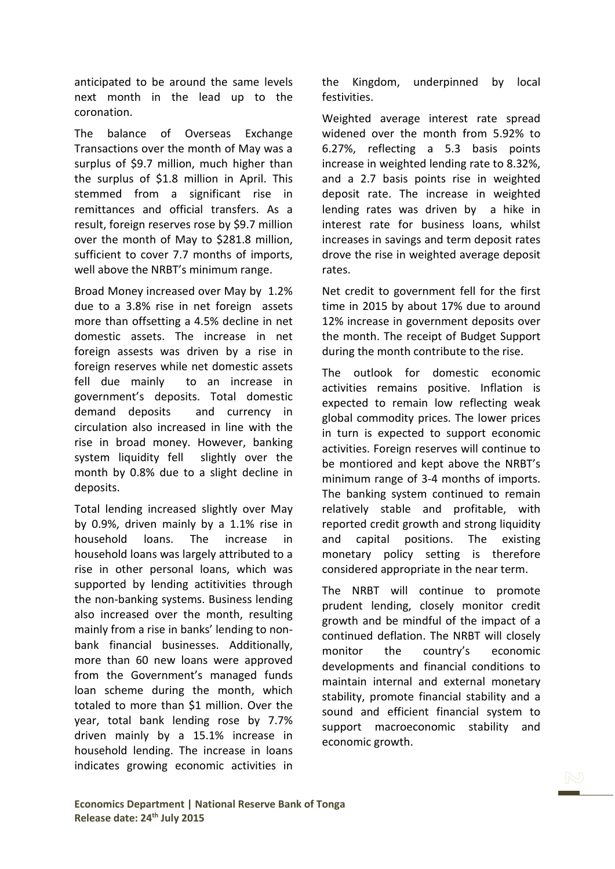anticipated to be around the same levels next month in the lead up to the coronation.

The balance of Overseas Exchange Transactions over the month of May was a surplus of \$9.7 million, much higher than the surplus of \$1.8 million in April. This stemmed from a significant rise in remittances and official transfers. As a result, foreign reserves rose by \$9.7 million over the month of May to \$281.8 million, sufficient to cover 7.7 months of imports, well above the NRBT's minimum range.

Broad Money increased over May by 1.2% due to a 3.8% rise in net foreign assets more than offsetting a 4.5% decline in net domestic assets. The increase in net foreign assests was driven by a rise in foreign reserves while net domestic assets fell due mainly to an increase in government's deposits. Total domestic demand deposits and currency in circulation also increased in line with the rise in broad money. However, banking system liquidity fell slightly over the month by 0.8% due to a slight decline in deposits.

Total lending increased slightly over May by 0.9%, driven mainly by a 1.1% rise in household loans. The increase in household loans was largely attributed to a rise in other personal loans, which was supported by lending actitivities through the non-banking systems. Business lending also increased over the month, resulting mainly from a rise in banks' lending to nonbank financial businesses. Additionally, more than 60 new loans were approved from the Government's managed funds loan scheme during the month, which totaled to more than \$1 million. Over the year, total bank lending rose by 7.7% driven mainly by a 15.1% increase in household lending. The increase in loans indicates growing economic activities in the Kingdom, underpinned by local festivities.

Weighted average interest rate spread widened over the month from 5.92% to 6.27%, reflecting a 5.3 basis points increase in weighted lending rate to 8.32%, and a 2.7 basis points rise in weighted deposit rate. The increase in weighted lending rates was driven by a hike in interest rate for business loans, whilst increases in savings and term deposit rates drove the rise in weighted average deposit rates.

Net credit to government fell for the first time in 2015 by about 17% due to around 12% increase in government deposits over the month. The receipt of Budget Support during the month contribute to the rise.

The outlook for domestic economic activities remains positive. Inflation is expected to remain low reflecting weak global commodity prices. The lower prices in turn is expected to support economic activities. Foreign reserves will continue to be montiored and kept above the NRBT's minimum range of 3-4 months of imports. The banking system continued to remain relatively stable and profitable, with reported credit growth and strong liquidity and capital positions. The existing monetary policy setting is therefore considered appropriate in the near term.

The NRBT will continue to promote prudent lending, closely monitor credit growth and be mindful of the impact of a continued deflation. The NRBT will closely monitor the country's economic developments and financial conditions to maintain internal and external monetary stability, promote financial stability and a sound and efficient financial system to support macroeconomic stability and economic growth.